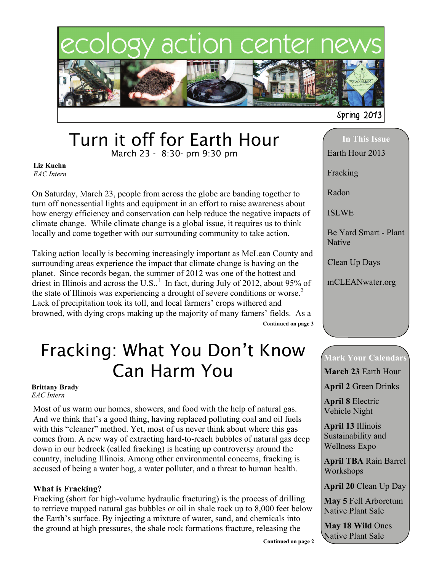

# Turn it off for Earth Hour

March 23 - 8:30- pm 9:30 pm

**Liz Kuehn** *EAC Intern*

On Saturday, March 23, people from across the globe are banding together to turn off nonessential lights and equipment in an effort to raise awareness about how energy efficiency and conservation can help reduce the negative impacts of climate change. While climate change is a global issue, it requires us to think locally and come together with our surrounding community to take action.

Taking action locally is becoming increasingly important as McLean County and surrounding areas experience the impact that climate change is having on the planet. Since records began, the summer of 2012 was one of the hottest and driest in Illinois and across the U.S..<sup>1</sup> In fact, during July of 2012, about 95% of the state of Illinois was experiencing a drought of severe conditions or worse.<sup>2</sup> Lack of precipitation took its toll, and local farmers' crops withered and browned, with dying crops making up the majority of many famers' fields. As a **Continued on page 3** 

## Fracking: What You Don't Know Can Harm You

#### **Brittany Brady** *EAC Intern*

Most of us warm our homes, showers, and food with the help of natural gas. And we think that's a good thing, having replaced polluting coal and oil fuels with this "cleaner" method. Yet, most of us never think about where this gas comes from. A new way of extracting hard-to-reach bubbles of natural gas deep down in our bedrock (called fracking) is heating up controversy around the country, including Illinois. Among other environmental concerns, fracking is accused of being a water hog, a water polluter, and a threat to human health.

#### **What is Fracking?**

Fracking (short for high-volume hydraulic fracturing) is the process of drilling to retrieve trapped natural gas bubbles or oil in shale rock up to 8,000 feet below the Earth's surface. By injecting a mixture of water, sand, and chemicals into the ground at high pressures, the shale rock formations fracture, releasing the

**In This Issue** 

Earth Hour 2013

Radon

Fracking

ISLWE

Be Yard Smart - Plant Native

Clean Up Days

mCLEANwater.org

### **Mark Your Calendars**

**March 23** Earth Hour

**April 2** Green Drinks

**April 8** Electric Vehicle Night

**April 13** Illinois Sustainability and Wellness Expo

**April TBA** Rain Barrel Workshops

**April 20** Clean Up Day

**May 5** Fell Arboretum Native Plant Sale

**May 18 Wild** Ones Native Plant Sale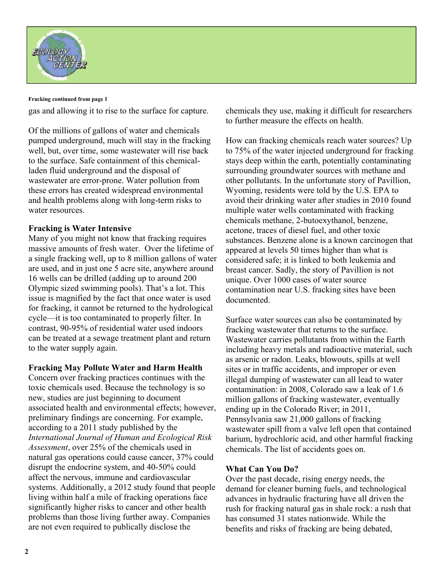

#### **Fracking continued from page 1**

gas and allowing it to rise to the surface for capture.

Of the millions of gallons of water and chemicals pumped underground, much will stay in the fracking well, but, over time, some wastewater will rise back to the surface. Safe containment of this chemicalladen fluid underground and the disposal of wastewater are error-prone. Water pollution from these errors has created widespread environmental and health problems along with long-term risks to water resources.

#### **Fracking is Water Intensive**

Many of you might not know that fracking requires massive amounts of fresh water. Over the lifetime of a single fracking well, up to 8 million gallons of water are used, and in just one 5 acre site, anywhere around 16 wells can be drilled (adding up to around 200 Olympic sized swimming pools). That's a lot. This issue is magnified by the fact that once water is used for fracking, it cannot be returned to the hydrological cycle—it is too contaminated to properly filter. In contrast, 90-95% of residential water used indoors can be treated at a sewage treatment plant and return to the water supply again.

#### **Fracking May Pollute Water and Harm Health**

Concern over fracking practices continues with the toxic chemicals used. Because the technology is so new, studies are just beginning to document associated health and environmental effects; however, preliminary findings are concerning. For example, according to a 2011 study published by the *International Journal of Human and Ecological Risk Assessment*, over 25% of the chemicals used in natural gas operations could cause cancer, 37% could disrupt the endocrine system, and 40-50% could affect the nervous, immune and cardiovascular systems. Additionally, a 2012 study found that people living within half a mile of fracking operations face significantly higher risks to cancer and other health problems than those living further away. Companies are not even required to publically disclose the

chemicals they use, making it difficult for researchers to further measure the effects on health.

How can fracking chemicals reach water sources? Up to 75% of the water injected underground for fracking stays deep within the earth, potentially contaminating surrounding groundwater sources with methane and other pollutants. In the unfortunate story of Pavillion, Wyoming, residents were told by the U.S. EPA to avoid their drinking water after studies in 2010 found multiple water wells contaminated with fracking chemicals methane, 2-butoexythanol, benzene, acetone, traces of diesel fuel, and other toxic substances. Benzene alone is a known carcinogen that appeared at levels 50 times higher than what is considered safe; it is linked to both leukemia and breast cancer. Sadly, the story of Pavillion is not unique. Over 1000 cases of water source contamination near U.S. fracking sites have been documented.

Surface water sources can also be contaminated by fracking wastewater that returns to the surface. Wastewater carries pollutants from within the Earth including heavy metals and radioactive material, such as arsenic or radon. Leaks, blowouts, spills at well sites or in traffic accidents, and improper or even illegal dumping of wastewater can all lead to water contamination: in 2008, Colorado saw a leak of 1.6 million gallons of fracking wastewater, eventually ending up in the Colorado River; in 2011, Pennsylvania saw 21,000 gallons of fracking wastewater spill from a valve left open that contained barium, hydrochloric acid, and other harmful fracking chemicals. The list of accidents goes on.

#### **What Can You Do?**

Over the past decade, rising energy needs, the demand for cleaner burning fuels, and technological advances in hydraulic fracturing have all driven the rush for fracking natural gas in shale rock: a rush that has consumed 31 states nationwide. While the benefits and risks of fracking are being debated,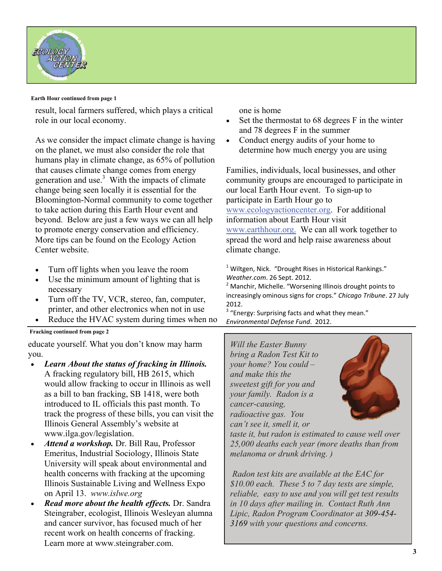

#### **Earth Hour continued from page 1**

result, local farmers suffered, which plays a critical role in our local economy.

As we consider the impact climate change is having on the planet, we must also consider the role that humans play in climate change, as 65% of pollution that causes climate change comes from energy generation and use. $3$  With the impacts of climate change being seen locally it is essential for the Bloomington-Normal community to come together to take action during this Earth Hour event and beyond. Below are just a few ways we can all help to promote energy conservation and efficiency. More tips can be found on the Ecology Action Center website.

- Turn off lights when you leave the room
- Use the minimum amount of lighting that is necessary
- Turn off the TV, VCR, stereo, fan, computer, printer, and other electronics when not in use
- Reduce the HVAC system during times when no
- **Fracking continued from page 2**

educate yourself. What you don't know may harm you.

- *Learn About the status of fracking in Illinois.* A fracking regulatory bill, HB 2615, which would allow fracking to occur in Illinois as well as a bill to ban fracking, SB 1418, were both introduced to IL officials this past month. To track the progress of these bills, you can visit the Illinois General Assembly's website at www.ilga.gov/legislation.
- *Attend a workshop.* Dr. Bill Rau, Professor Emeritus, Industrial Sociology, Illinois State University will speak about environmental and health concerns with fracking at the upcoming Illinois Sustainable Living and Wellness Expo on April 13. *www.islwe.org*
- *Read more about the health effects.* Dr. Sandra Steingraber, ecologist, Illinois Wesleyan alumna and cancer survivor, has focused much of her recent work on health concerns of fracking. Learn more at www.steingraber.com.

one is home

- Set the thermostat to 68 degrees F in the winter and 78 degrees F in the summer
- Conduct energy audits of your home to determine how much energy you are using

Families, individuals, local businesses, and other community groups are encouraged to participate in our local Earth Hour event. To sign-up to participate in Earth Hour go to [www.ecologyactioncenter.org](http://www.ecologyactioncenter.org/wp/events/earth-hour/). For additional information about Earth Hour visit [www.earthhour.org.](http://www.earthhour.org/) We can all work together to spread the word and help raise awareness about climate change.

 $1$  Wiltgen, Nick. "Drought Rises in Historical Rankings." *Weather.com*. 26 Sept. 2012.

<sup>2</sup> Manchir, Michelle. "Worsening Illinois drought points to increasingly ominous signs for crops." *Chicago Tribune*. 27 July 2012.

<sup>3</sup> "Energy: Surprising facts and what they mean." *Environmental Defense Fund*. 2012.

*Will the Easter Bunny bring a Radon Test Kit to your home? You could – and make this the sweetest gift for you and your family. Radon is a cancer-causing, radioactive gas. You can't see it, smell it, or* 



*taste it, but radon is estimated to cause well over 25,000 deaths each year (more deaths than from melanoma or drunk driving. )* 

 *Radon test kits are available at the EAC for \$10.00 each. These 5 to 7 day tests are simple, reliable, easy to use and you will get test results in 10 days after mailing in. Contact Ruth Ann Lipic, Radon Program Coordinator at 309-454- 3169 with your questions and concerns.*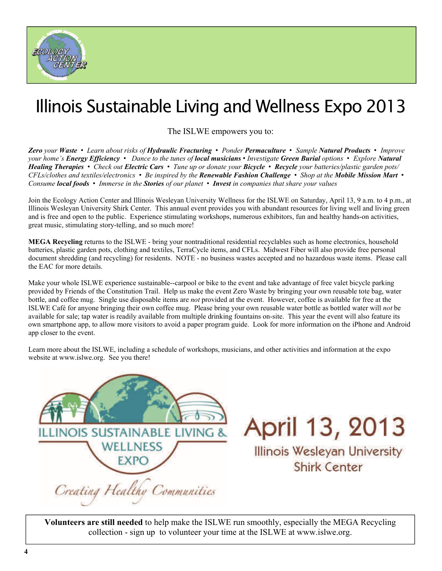

## Illinois Sustainable Living and Wellness Expo 2013

The ISLWE empowers you to:

Zero your Waste • Learn about risks of Hydraulic Fracturing • Ponder Permaculture • Sample Natural Products • Improve *your home's Energy Efficiency • Dance to the tunes of local musicians • Investigate Green Burial options • Explore Natural Healing Therapies • Check out Electric Cars • Tune up or donate your Bicycle • Recycle your batteries/plastic garden pots/ CFLs/clothes and textiles/electronics • Be inspired by the Renewable Fashion Challenge • Shop at the Mobile Mission Mart • Consume local foods • Immerse in the Stories of our planet • Invest in companies that share your values* 

Join the Ecology Action Center and Illinois Wesleyan University Wellness for the ISLWE on Saturday, April 13, 9 a.m. to 4 p.m., at Illinois Wesleyan University Shirk Center. This annual event provides you with abundant resources for living well and living green and is free and open to the public. Experience stimulating workshops, numerous exhibitors, fun and healthy hands-on activities, great music, stimulating story-telling, and so much more!

**MEGA Recycling** returns to the ISLWE - bring your nontraditional residential recyclables such as home electronics, household batteries, plastic garden pots, clothing and textiles, TerraCycle items, and CFLs. Midwest Fiber will also provide free personal document shredding (and recycling) for residents. NOTE - no business wastes accepted and no hazardous waste items. Please call the EAC for more details.

Make your whole ISLWE experience sustainable--carpool or bike to the event and take advantage of free valet bicycle parking provided by Friends of the Constitution Trail. Help us make the event Zero Waste by bringing your own reusable tote bag, water bottle, and coffee mug. Single use disposable items are *not* provided at the event. However, coffee is available for free at the ISLWE Café for anyone bringing their own coffee mug. Please bring your own reusable water bottle as bottled water will *not* be available for sale; tap water is readily available from multiple drinking fountains on-site. This year the event will also feature its own smartphone app, to allow more visitors to avoid a paper program guide. Look for more information on the iPhone and Android app closer to the event.

Learn more about the ISLWE, including a schedule of workshops, musicians, and other activities and information at the expo website at www.islwe.org. See you there!



April 13, 2013

Illinois Wesleyan University Shirk Center

**Volunteers are still needed** to help make the ISLWE run smoothly, especially the MEGA Recycling collection - sign up to volunteer your time at the ISLWE at www.islwe.org.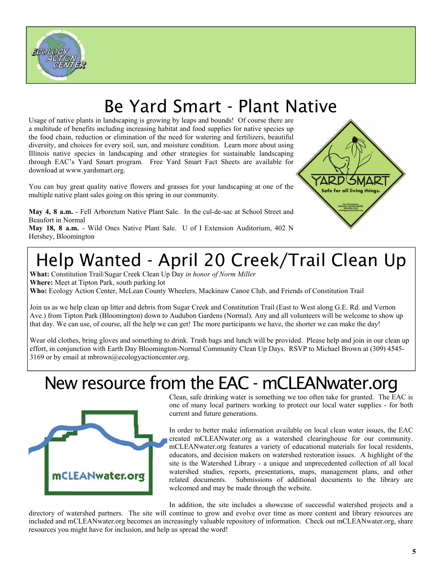

## Be Yard Smart - Plant Native

Usage of native plants in landscaping is growing by leaps and bounds! Of course there are a multitude of benefits including increasing habitat and food supplies for native species up the food chain, reduction or elimination of the need for watering and fertilizers, beautiful diversity, and choices for every soil, sun, and moisture condition. Learn more about using Illinois native species in landscaping and other strategies for sustainable landscaping through EAC's Yard Smart program. Free Yard Smart Fact Sheets are available for download at www.yardsmart.org.

You can buy great quality native flowers and grasses for your landscaping at one of the multiple native plant sales going on this spring in our community.

**May 4, 8 a.m.** - Fell Arboretum Native Plant Sale. In the cul-de-sac at School Street and Beaufort in Normal

**May 18, 8 a.m.** - Wild Ones Native Plant Sale. U of I Extension Auditorium, 402 N Hershey, Bloomington



# Help Wanted - April 20 Creek/Trail Clean Up

**What:** Constitution Trail/Sugar Creek Clean Up Day *in honor of Norm Miller* **Where:** Meet at Tipton Park, south parking lot **Who:** Ecology Action Center, McLean County Wheelers, Mackinaw Canoe Club, and Friends of Constitution Trail

Join us as we help clean up litter and debris from Sugar Creek and Constitution Trail (East to West along G.E. Rd. and Vernon Ave.) from Tipton Park (Bloomington) down to Audubon Gardens (Normal). Any and all volunteers will be welcome to show up that day. We can use, of course, all the help we can get! The more participants we have, the shorter we can make the day!

Wear old clothes, bring gloves and something to drink. Trash bags and lunch will be provided. Please help and join in our clean up effort, in conjunction with Earth Day Bloomington-Normal Community Clean Up Days. RSVP to Michael Brown at (309) 4545- 3169 or by email at mbrown@ecologyactioncenter.org.

## New resource from the EAC - mCLEANwater.org



Clean, safe drinking water is something we too often take for granted. The EAC is one of many local partners working to protect our local water supplies - for both current and future generations.

In order to better make information available on local clean water issues, the EAC created mCLEANwater.org as a watershed clearinghouse for our community. mCLEANwater.org features a variety of educational materials for local residents, educators, and decision makers on watershed restoration issues. A highlight of the site is the Watershed Library - a unique and unprecedented collection of all local watershed studies, reports, presentations, maps, management plans, and other related documents. Submissions of additional documents to the library are welcomed and may be made through the website.

In addition, the site includes a showcase of successful watershed projects and a directory of watershed partners. The site will continue to grow and evolve over time as more content and library resources are included and mCLEANwater.org becomes an increasingly valuable repository of information. Check out mCLEANwater.org, share resources you might have for inclusion, and help us spread the word!